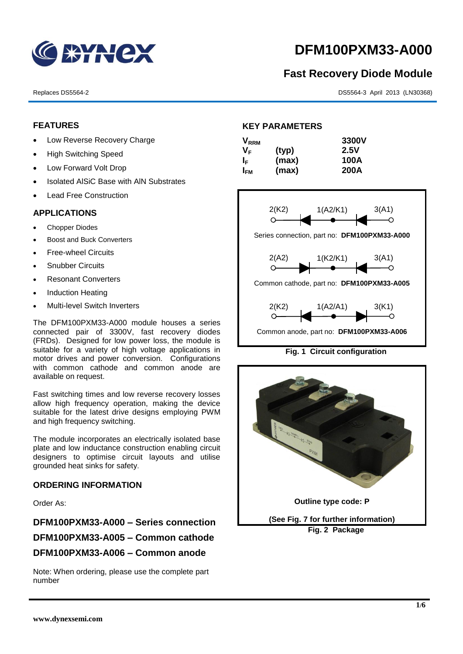

# **DFM100PXM33-A000**

## **Fast Recovery Diode Module**

Replaces DS5564-2 DS5564-3 April 2013 (LN30368)

#### **FEATURES**

- Low Reverse Recovery Charge
- High Switching Speed
- Low Forward Volt Drop
- Isolated AISiC Base with AIN Substrates
- Lead Free Construction

### **APPLICATIONS**

- Chopper Diodes
- Boost and Buck Converters
- Free-wheel Circuits
- Snubber Circuits
- Resonant Converters
- Induction Heating
- Multi-level Switch Inverters

The DFM100PXM33-A000 module houses a series connected pair of 3300V, fast recovery diodes (FRDs). Designed for low power loss, the module is suitable for a variety of high voltage applications in motor drives and power conversion. Configurations with common cathode and common anode are available on request.

Fast switching times and low reverse recovery losses allow high frequency operation, making the device suitable for the latest drive designs employing PWM and high frequency switching.

The module incorporates an electrically isolated base plate and low inductance construction enabling circuit designers to optimise circuit layouts and utilise grounded heat sinks for safety.

#### **ORDERING INFORMATION**

Order As:

**DFM100PXM33-A000 – Series connection DFM100PXM33-A005 – Common cathode DFM100PXM33-A006 – Common anode**

Note: When ordering, please use the complete part number

### **KEY PARAMETERS**

| $\mathsf{V}_{\mathsf{RRM}}$ |       | 3300V       |
|-----------------------------|-------|-------------|
| Vғ                          | (typ) | 2.5V        |
| ΙF                          | (max) | 100A        |
| I <sub>FМ</sub>             | (max) | <b>200A</b> |



#### **Fig. 1 Circuit configuration**

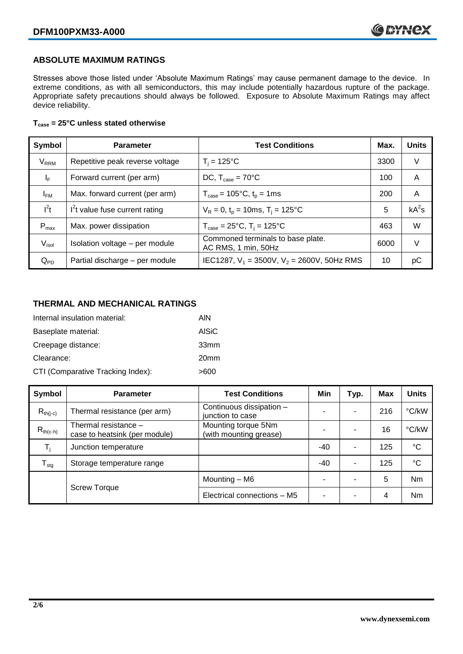#### **ABSOLUTE MAXIMUM RATINGS**

Stresses above those listed under 'Absolute Maximum Ratings' may cause permanent damage to the device. In extreme conditions, as with all semiconductors, this may include potentially hazardous rupture of the package. Appropriate safety precautions should always be followed. Exposure to Absolute Maximum Ratings may affect device reliability.

#### **Tcase = 25°C unless stated otherwise**

| Symbol                  | <b>Parameter</b>                | <b>Test Conditions</b>                                               | Max. | <b>Units</b> |
|-------------------------|---------------------------------|----------------------------------------------------------------------|------|--------------|
| <b>V</b> <sub>RRM</sub> | Repetitive peak reverse voltage | $T_i = 125$ °C                                                       | 3300 | V            |
| $\mathsf{I}_\mathsf{F}$ | Forward current (per arm)       | DC, $T_{\text{case}} = 70^{\circ}$ C                                 | 100  | A            |
| $I_{FM}$                | Max. forward current (per arm)  | $T_{\text{case}} = 105^{\circ}C$ , $t_p = 1ms$                       | 200  | A            |
| $I^2t$                  | $I2t$ value fuse current rating | $V_R = 0$ , $t_p = 10$ ms, $T_i = 125$ °C                            | 5    | $kA^2s$      |
| $P_{max}$               | Max. power dissipation          | $T_{\text{case}} = 25^{\circ}\text{C}$ , $T_i = 125^{\circ}\text{C}$ | 463  | W            |
| V <sub>isol</sub>       | Isolation voltage - per module  | Commoned terminals to base plate.<br>AC RMS, 1 min, 50Hz             | 6000 | V            |
| $Q_{PD}$                | Partial discharge - per module  | IEC1287, $V_1$ = 3500V, $V_2$ = 2600V, 50Hz RMS                      | 10   | рC           |

#### **THERMAL AND MECHANICAL RATINGS**

| Internal insulation material:     | AIN              |
|-----------------------------------|------------------|
| Baseplate material:               | <b>AISiC</b>     |
| Creepage distance:                | 33 <sub>mm</sub> |
| Clearance:                        | 20 <sub>mm</sub> |
| CTI (Comparative Tracking Index): | >600             |

| Symbol           | <b>Parameter</b>                                      | <b>Test Conditions</b>                        | Min   | Typ.                     | <b>Max</b> | <b>Units</b> |
|------------------|-------------------------------------------------------|-----------------------------------------------|-------|--------------------------|------------|--------------|
| $R_{th(i-c)}$    | Thermal resistance (per arm)                          | Continuous dissipation -<br>junction to case  | -     | $\overline{\phantom{0}}$ | 216        | °C/kW        |
| $R_{th(c-h)}$    | Thermal resistance -<br>case to heatsink (per module) | Mounting torque 5Nm<br>(with mounting grease) |       |                          | 16         | °C/kW        |
| T,               | Junction temperature                                  |                                               | $-40$ | $\overline{\phantom{0}}$ | 125        | $^{\circ}C$  |
| $T_{\text{stg}}$ | Storage temperature range                             |                                               | $-40$ | $\overline{\phantom{0}}$ | 125        | °C           |
|                  |                                                       | Mounting – M6                                 | -     |                          | 5          | Nm           |
|                  | <b>Screw Torque</b>                                   | Electrical connections - M5                   | -     | -                        | 4          | Nm           |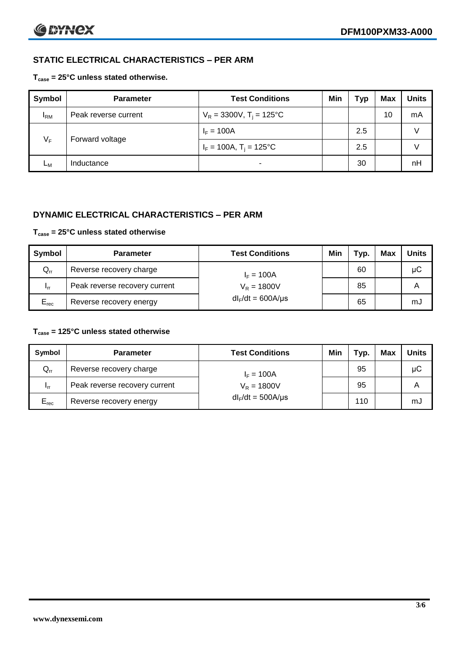### **STATIC ELECTRICAL CHARACTERISTICS – PER ARM**

#### **Tcase = 25°C unless stated otherwise.**

| Symbol     | <b>Parameter</b>     | <b>Test Conditions</b>                 | Min | Typ | <b>Max</b> | <b>Units</b> |
|------------|----------------------|----------------------------------------|-----|-----|------------|--------------|
| <b>IRM</b> | Peak reverse current | $V_R = 3300V$ , T <sub>i</sub> = 125°C |     |     | 10         | mA           |
| $V_F$      | Forward voltage      | $I_F = 100A$                           |     | 2.5 |            | v            |
|            |                      | $I_F = 100A$ , $T_i = 125^{\circ}C$    |     | 2.5 |            | v            |
| Lм         | Inductance           | $\blacksquare$                         |     | 30  |            | nH           |

#### **DYNAMIC ELECTRICAL CHARACTERISTICS – PER ARM**

#### **Tcase = 25°C unless stated otherwise**

| Symbol          | <b>Parameter</b>                        | <b>Test Conditions</b> | Min | Typ. | Max | <b>Units</b> |
|-----------------|-----------------------------------------|------------------------|-----|------|-----|--------------|
| $Q_{rr}$        | Reverse recovery charge<br>$I_F = 100A$ |                        |     | 60   |     | μC           |
| 1 <sub>rr</sub> | Peak reverse recovery current           | $V_R = 1800V$          |     | 85   |     | A            |
| $E_{rec}$       | Reverse recovery energy                 | $dl_F/dt = 600A/\mu s$ |     | 65   |     | mJ           |

#### **Tcase = 125°C unless stated otherwise**

| Symbol                     | <b>Parameter</b>                        | <b>Test Conditions</b> | Min | Typ. | Max | <b>Units</b> |
|----------------------------|-----------------------------------------|------------------------|-----|------|-----|--------------|
| $\mathsf{Q}_{\mathsf{rr}}$ | Reverse recovery charge<br>$I_F = 100A$ |                        |     | 95   |     | μC           |
| - Irr                      | Peak reverse recovery current           | $V_R = 1800V$          |     | 95   |     | А            |
| $E_{rec}$                  | Reverse recovery energy                 | $dl_F/dt = 500A/\mu s$ |     | 110  |     | mJ           |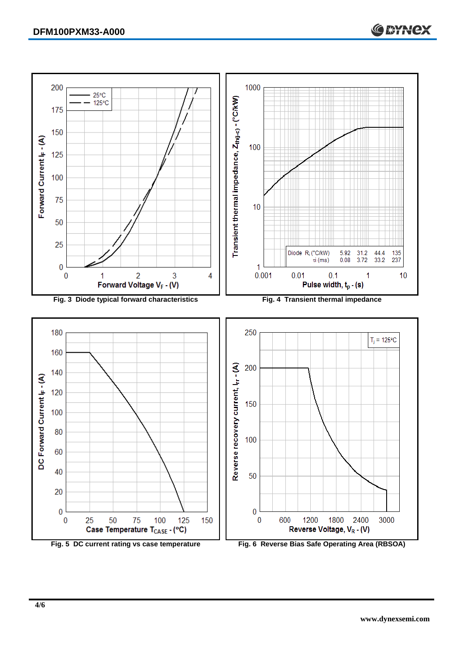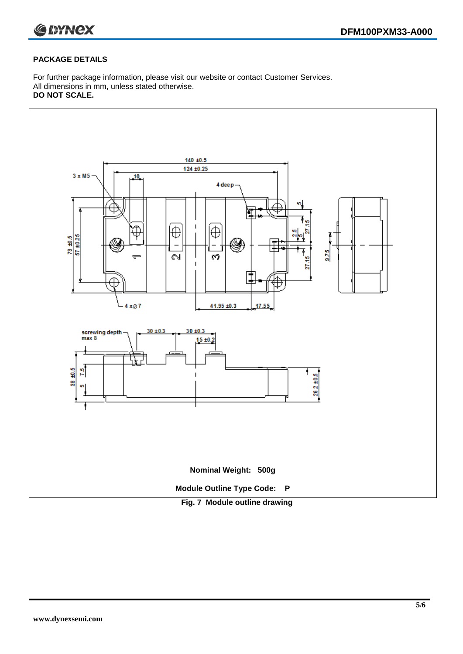

#### **PACKAGE DETAILS**

For further package information, please visit our website or contact Customer Services. All dimensions in mm, unless stated otherwise. **DO NOT SCALE.**